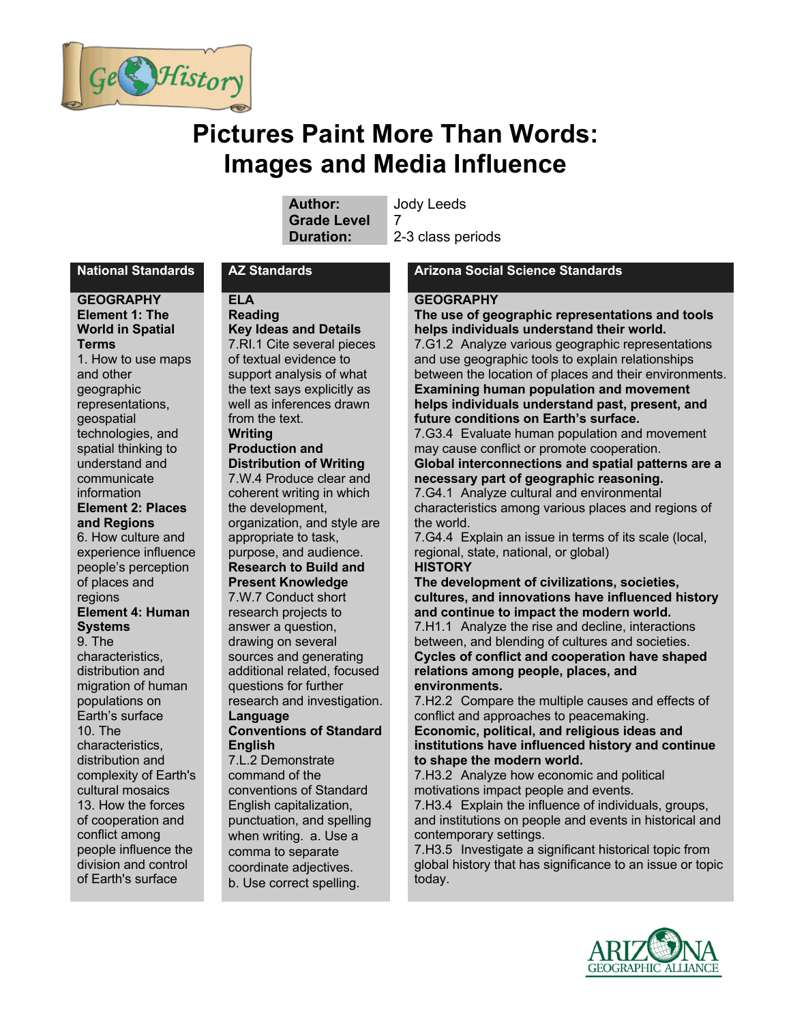

# **Pictures Paint More Than Words: Images and Media Influence**

**Author:** Jody Leeds **Grade Level** 7

**Duration:** 2-3 class periods

#### **GEOGRAPHY Element 1: The World in Spatial Terms**  1. How to use maps and other

geographic representations, geospatial technologies, and spatial thinking to understand and communicate information **Element 2: Places and Regions** 6. How culture and experience influence people's perception of places and

#### regions **Element 4: Human Systems**

9. The characteristics, distribution and migration of human populations on Earth's surface 10. The characteristics, distribution and complexity of Earth's cultural mosaics 13. How the forces of cooperation and conflict among people influence the division and control of Earth's surface

# **ELA**

**Reading Key Ideas and Details** 7.RI.1 Cite several pieces of textual evidence to support analysis of what the text says explicitly as well as inferences drawn from the text. **Writing Production and Distribution of Writing** 7.W.4 Produce clear and coherent writing in which the development, organization, and style are appropriate to task, purpose, and audience. **Research to Build and Present Knowledge** 7.W.7 Conduct short

research projects to answer a question, drawing on several sources and generating additional related, focused questions for further research and investigation. **Language**

#### **Conventions of Standard English**

7.L.2 Demonstrate command of the conventions of Standard English capitalization, punctuation, and spelling when writing. a. Use a comma to separate coordinate adjectives. b. Use correct spelling.

#### **National Standards AZ Standards Arizona Social Science Standards**

#### **GEOGRAPHY**

**The use of geographic representations and tools helps individuals understand their world.** 7.G1.2 Analyze various geographic representations and use geographic tools to explain relationships between the location of places and their environments. **Examining human population and movement helps individuals understand past, present, and future conditions on Earth's surface.**

7.G3.4 Evaluate human population and movement may cause conflict or promote cooperation.

#### **Global interconnections and spatial patterns are a necessary part of geographic reasoning.**

7.G4.1 Analyze cultural and environmental characteristics among various places and regions of the world.

7.G4.4 Explain an issue in terms of its scale (local, regional, state, national, or global)

# **HISTORY**

**The development of civilizations, societies, cultures, and innovations have influenced history and continue to impact the modern world.**

7.H1.1 Analyze the rise and decline, interactions between, and blending of cultures and societies. **Cycles of conflict and cooperation have shaped relations among people, places, and environments.**

7.H2.2 Compare the multiple causes and effects of conflict and approaches to peacemaking.

**Economic, political, and religious ideas and institutions have influenced history and continue to shape the modern world.**

7.H3.2 Analyze how economic and political motivations impact people and events.

7.H3.4 Explain the influence of individuals, groups, and institutions on people and events in historical and contemporary settings.

7.H3.5 Investigate a significant historical topic from global history that has significance to an issue or topic today.

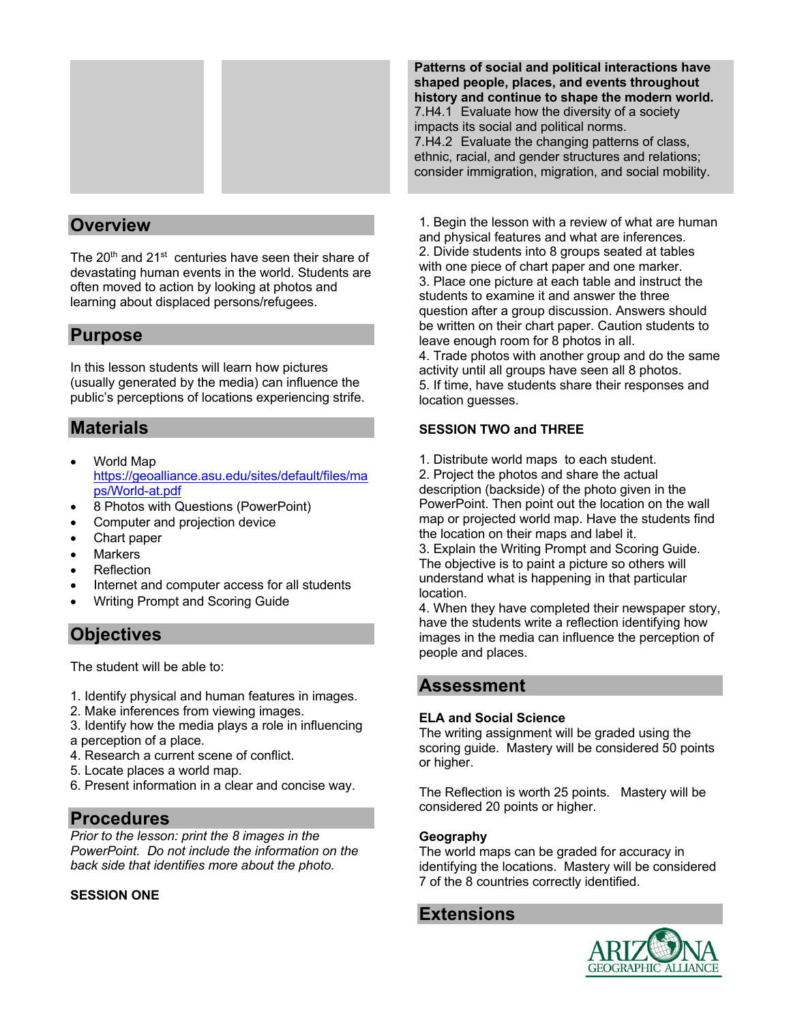

# **Overview**

The 20<sup>th</sup> and 21<sup>st</sup> centuries have seen their share of devastating human events in the world. Students are often moved to action by looking at photos and learning about displaced persons/refugees.

# **Purpose**

In this lesson students will learn how pictures (usually generated by the media) can influence the public's perceptions of locations experiencing strife.

# **Materials**

- World Map https://geoalliance.asu.edu/sites/default/files/ma ps/World-at.pdf
- 8 Photos with Questions (PowerPoint)
- Computer and projection device
- Chart paper
- **Markers**
- **Reflection**
- Internet and computer access for all students
- Writing Prompt and Scoring Guide

# **Objectives**

The student will be able to:

- 1. Identify physical and human features in images.
- 2. Make inferences from viewing images.
- 3. Identify how the media plays a role in influencing a perception of a place.
- 4. Research a current scene of conflict.
- 5. Locate places a world map.
- 6. Present information in a clear and concise way.

# **Procedures**

*Prior to the lesson: print the 8 images in the PowerPoint. Do not include the information on the back side that identifies more about the photo.*

### **SESSION ONE**

**Patterns of social and political interactions have shaped people, places, and events throughout history and continue to shape the modern world.** 7.H4.1 Evaluate how the diversity of a society impacts its social and political norms. 7.H4.2 Evaluate the changing patterns of class, ethnic, racial, and gender structures and relations; consider immigration, migration, and social mobility.

1. Begin the lesson with a review of what are human and physical features and what are inferences. 2. Divide students into 8 groups seated at tables with one piece of chart paper and one marker. 3. Place one picture at each table and instruct the students to examine it and answer the three question after a group discussion. Answers should be written on their chart paper. Caution students to leave enough room for 8 photos in all. 4. Trade photos with another group and do the same

activity until all groups have seen all 8 photos. 5. If time, have students share their responses and location guesses.

### **SESSION TWO and THREE**

1. Distribute world maps to each student.

2. Project the photos and share the actual description (backside) of the photo given in the PowerPoint. Then point out the location on the wall map or projected world map. Have the students find the location on their maps and label it.

3. Explain the Writing Prompt and Scoring Guide. The objective is to paint a picture so others will understand what is happening in that particular location.

4. When they have completed their newspaper story, have the students write a reflection identifying how images in the media can influence the perception of people and places.

# **Assessment**

#### **ELA and Social Science**

The writing assignment will be graded using the scoring guide. Mastery will be considered 50 points or higher.

The Reflection is worth 25 points. Mastery will be considered 20 points or higher.

#### **Geography**

The world maps can be graded for accuracy in identifying the locations. Mastery will be considered 7 of the 8 countries correctly identified.

# **Extensions**